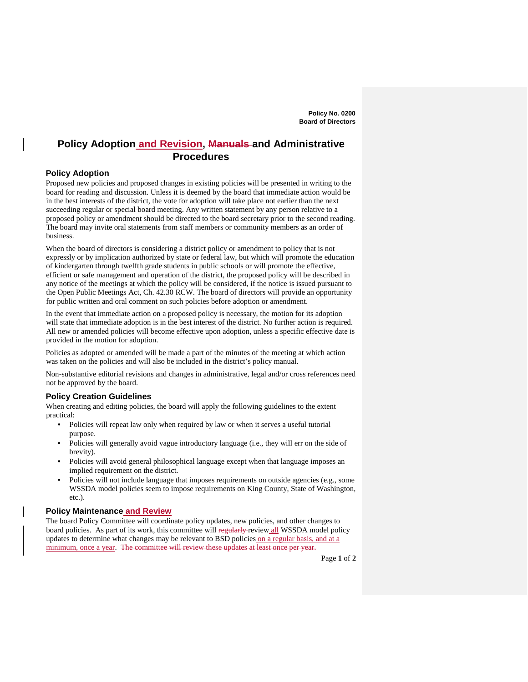# **Policy Adoption and Revision, Manuals and Administrative Procedures**

# **Policy Adoption**

Proposed new policies and proposed changes in existing policies will be presented in writing to the board for reading and discussion. Unless it is deemed by the board that immediate action would be in the best interests of the district, the vote for adoption will take place not earlier than the next succeeding regular or special board meeting. Any written statement by any person relative to a proposed policy or amendment should be directed to the board secretary prior to the second reading. The board may invite oral statements from staff members or community members as an order of business.

When the board of directors is considering a district policy or amendment to policy that is not expressly or by implication authorized by state or federal law, but which will promote the education of kindergarten through twelfth grade students in public schools or will promote the effective, efficient or safe management and operation of the district, the proposed policy will be described in any notice of the meetings at which the policy will be considered, if the notice is issued pursuant to the Open Public Meetings Act, Ch. 42.30 RCW. The board of directors will provide an opportunity for public written and oral comment on such policies before adoption or amendment.

In the event that immediate action on a proposed policy is necessary, the motion for its adoption will state that immediate adoption is in the best interest of the district. No further action is required. All new or amended policies will become effective upon adoption, unless a specific effective date is provided in the motion for adoption.

Policies as adopted or amended will be made a part of the minutes of the meeting at which action was taken on the policies and will also be included in the district's policy manual.

Non-substantive editorial revisions and changes in administrative, legal and/or cross references need not be approved by the board.

### **Policy Creation Guidelines**

When creating and editing policies, the board will apply the following guidelines to the extent practical:

- Policies will repeat law only when required by law or when it serves a useful tutorial purpose.
- Policies will generally avoid vague introductory language (i.e., they will err on the side of brevity).
- Policies will avoid general philosophical language except when that language imposes an implied requirement on the district.
- Policies will not include language that imposes requirements on outside agencies (e.g., some WSSDA model policies seem to impose requirements on King County, State of Washington, etc.).

# **Policy Maintenance and Review**

The board Policy Committee will coordinate policy updates, new policies, and other changes to board policies. As part of its work, this committee will regularly review all WSSDA model policy updates to determine what changes may be relevant to BSD policies on a regular basis, and at a minimum, once a year. The committee will review these updates at least once per year.